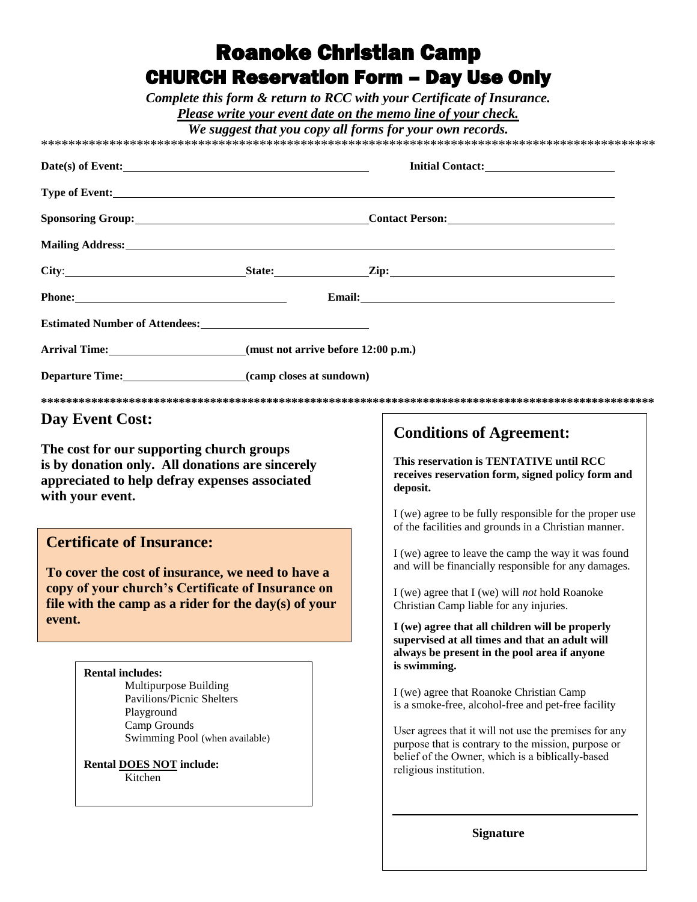## **Roanoke Christian Camp CHURCH Reservation Form - Day Use Only**

Complete this form & return to RCC with your Certificate of Insurance.

Please write your event date on the memo line of your check.

We suggest that you cany all forms for your own records

| Date(s) of Event:                                                                                                                               |  | Initial Contact:                                                                                                                                                         |
|-------------------------------------------------------------------------------------------------------------------------------------------------|--|--------------------------------------------------------------------------------------------------------------------------------------------------------------------------|
|                                                                                                                                                 |  |                                                                                                                                                                          |
|                                                                                                                                                 |  |                                                                                                                                                                          |
|                                                                                                                                                 |  | Mailing Address: 1988 and 2008 and 2008 and 2008 and 2008 and 2008 and 2008 and 2008 and 2008 and 2008 and 200                                                           |
|                                                                                                                                                 |  | City: State: Zip: Zip:                                                                                                                                                   |
|                                                                                                                                                 |  | Email: <u>Alexander School (Separate School)</u>                                                                                                                         |
|                                                                                                                                                 |  |                                                                                                                                                                          |
| Arrival Time: _________________________(must not arrive before 12:00 p.m.)                                                                      |  |                                                                                                                                                                          |
| Departure Time: (camp closes at sundown)                                                                                                        |  |                                                                                                                                                                          |
|                                                                                                                                                 |  |                                                                                                                                                                          |
| Day Event Cost:                                                                                                                                 |  | <b>Conditions of Agreement:</b>                                                                                                                                          |
| The cost for our supporting church groups<br>is by donation only. All donations are sincerely<br>appreciated to help defray expenses associated |  | This reservation is TENTATIVE until RCC<br>receives reservation form, signed policy form and                                                                             |
|                                                                                                                                                 |  | deposit.                                                                                                                                                                 |
|                                                                                                                                                 |  | I (we) agree to be fully responsible for the proper use<br>of the facilities and grounds in a Christian manner.                                                          |
|                                                                                                                                                 |  | I (we) agree to leave the camp the way it was found<br>and will be financially responsible for any damages.                                                              |
|                                                                                                                                                 |  | I (we) agree that I (we) will <i>not</i> hold Roanoke<br>Christian Camp liable for any injuries.                                                                         |
| <b>Certificate of Insurance:</b><br>To cover the cost of insurance, we need to have a<br>copy of your church's Certificate of Insurance on      |  | I (we) agree that all children will be properly<br>supervised at all times and that an adult will                                                                        |
| with your event.<br>file with the camp as a rider for the day(s) of your<br>event.                                                              |  | always be present in the pool area if anyone                                                                                                                             |
| <b>Rental includes:</b><br>Multipurpose Building<br>Pavilions/Picnic Shelters<br>Playground<br>Camp Grounds                                     |  | is swimming.<br>I (we) agree that Roanoke Christian Camp<br>is a smoke-free, alcohol-free and pet-free facility<br>User agrees that it will not use the premises for any |

**Signature**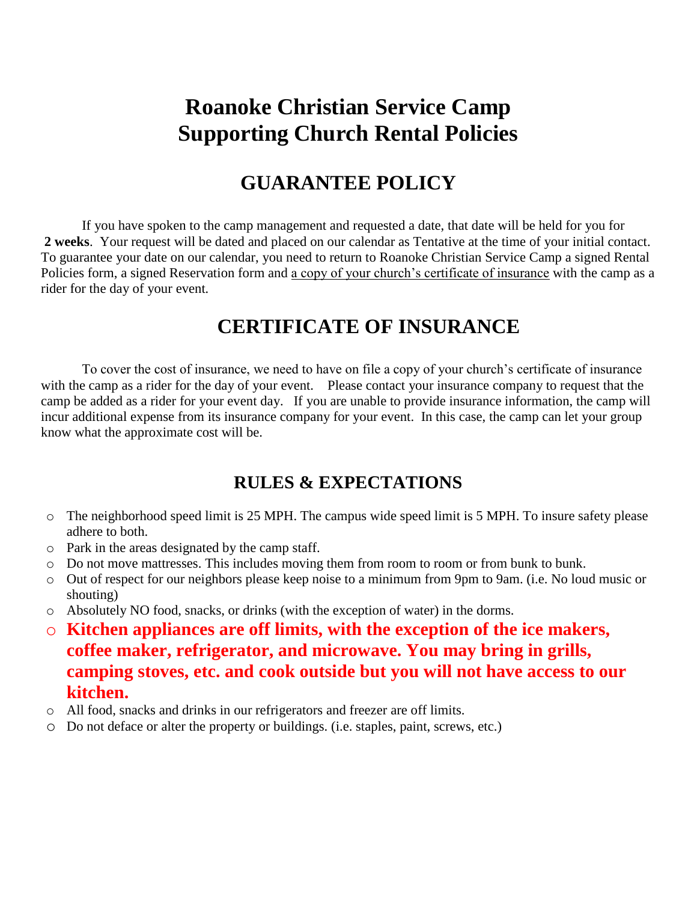# **Roanoke Christian Service Camp Supporting Church Rental Policies**

#### **GUARANTEE POLICY**

If you have spoken to the camp management and requested a date, that date will be held for you for **2 weeks**. Your request will be dated and placed on our calendar as Tentative at the time of your initial contact. To guarantee your date on our calendar, you need to return to Roanoke Christian Service Camp a signed Rental Policies form, a signed Reservation form and a copy of your church's certificate of insurance with the camp as a rider for the day of your event*.*

#### **CERTIFICATE OF INSURANCE**

To cover the cost of insurance, we need to have on file a copy of your church's certificate of insurance with the camp as a rider for the day of your event. Please contact your insurance company to request that the camp be added as a rider for your event day. If you are unable to provide insurance information, the camp will incur additional expense from its insurance company for your event. In this case, the camp can let your group know what the approximate cost will be.

#### **RULES & EXPECTATIONS**

- o The neighborhood speed limit is 25 MPH. The campus wide speed limit is 5 MPH. To insure safety please adhere to both.
- o Park in the areas designated by the camp staff.
- o Do not move mattresses. This includes moving them from room to room or from bunk to bunk.
- o Out of respect for our neighbors please keep noise to a minimum from 9pm to 9am. (i.e. No loud music or shouting)
- o Absolutely NO food, snacks, or drinks (with the exception of water) in the dorms.
- o **Kitchen appliances are off limits, with the exception of the ice makers, coffee maker, refrigerator, and microwave. You may bring in grills, camping stoves, etc. and cook outside but you will not have access to our kitchen.**
- o All food, snacks and drinks in our refrigerators and freezer are off limits.
- o Do not deface or alter the property or buildings. (i.e. staples, paint, screws, etc.)